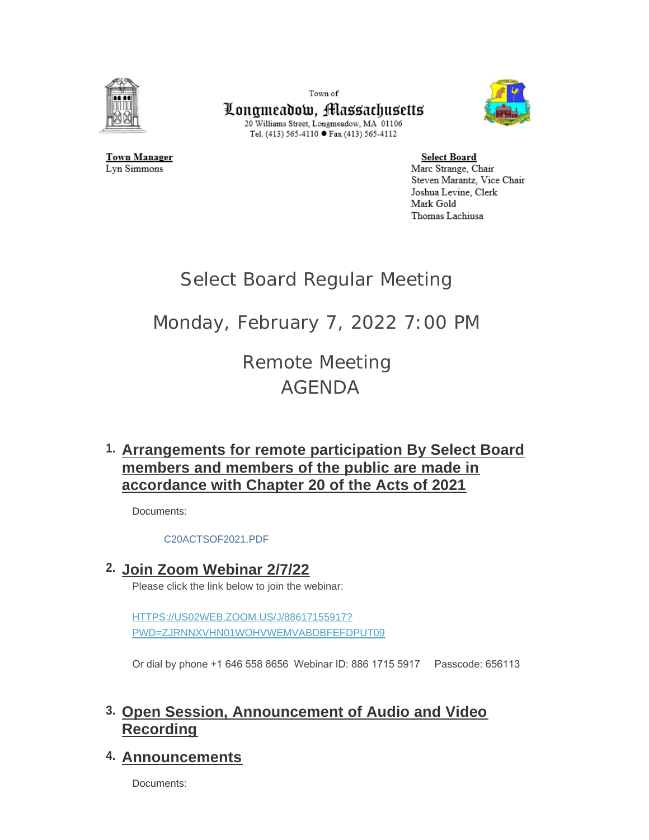

Town of



Longmeadow, Massachusetts 20 Williams Street, Longmeadow, MA 01106 Tel. (413) 565-4110 ● Fax (413) 565-4112

Town Manager Lyn Simmons

**Select Board** Marc Strange, Chair Steven Marantz, Vice Chair Joshua Levine, Clerk Mark Gold Thomas Lachiusa

# Select Board Regular Meeting

# Monday, February 7, 2022 7:00 PM

Remote Meeting AGENDA

# **Arrangements for remote participation By Select Board 1. members and members of the public are made in accordance with Chapter 20 of the Acts of 2021**

Documents:

[C20ACTSOF2021.PDF](https://www.longmeadow.org/AgendaCenter/ViewFile/Item/2080?fileID=21384)

**Join Zoom Webinar 2/7/22 2.**

Please click the link below to join the webinar:

HTTPS://US02WEB.ZOOM.US/J/88617155917? [PWD=ZJRNNXVHN01WOHVWEMVABDBFEFDPUT09](https://us02web.zoom.us/j/88617155917?pwd=ZjRnNXVHN01WOHVwemVabDBFeFdPUT09)

Or dial by phone +1 646 558 8656 Webinar ID: 886 1715 5917 Passcode: 656113

# **Open Session, Announcement of Audio and Video 3. Recording**

## **Announcements 4.**

Documents: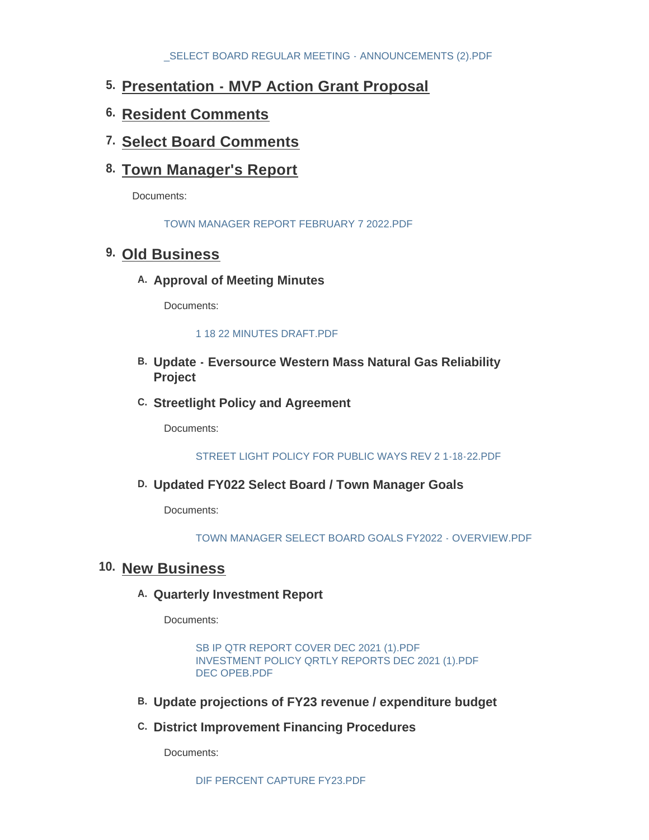- **Presentation MVP Action Grant Proposal 5.**
- **Resident Comments 6.**
- **Select Board Comments 7.**
- **Town Manager's Report 8.**

Documents:

[TOWN MANAGER REPORT FEBRUARY 7 2022.PDF](https://www.longmeadow.org/AgendaCenter/ViewFile/Item/2067?fileID=21576)

## **Old Business 9.**

A. Approval of Meeting Minutes

Documents:

#### [1 18 22 MINUTES DRAFT.PDF](https://www.longmeadow.org/AgendaCenter/ViewFile/Item/2103?fileID=21570)

- **Update Eversource Western Mass Natural Gas Reliability B. Project**
- **Streetlight Policy and Agreement C.**

Documents:

[STREET LIGHT POLICY FOR PUBLIC WAYS REV 2 1-18-22.PDF](https://www.longmeadow.org/AgendaCenter/ViewFile/Item/2055?fileID=21567)

## **Updated FY022 Select Board / Town Manager Goals D.**

Documents:

[TOWN MANAGER SELECT BOARD GOALS FY2022 - OVERVIEW.PDF](https://www.longmeadow.org/AgendaCenter/ViewFile/Item/2111?fileID=21571)

## 10. New Business

### **Quarterly Investment Report A.**

Documents:

[SB IP QTR REPORT COVER DEC 2021 \(1\).PDF](https://www.longmeadow.org/AgendaCenter/ViewFile/Item/1856?fileID=21564) [INVESTMENT POLICY QRTLY REPORTS DEC 2021 \(1\).PDF](https://www.longmeadow.org/AgendaCenter/ViewFile/Item/1856?fileID=21565) [DEC OPEB.PDF](https://www.longmeadow.org/AgendaCenter/ViewFile/Item/1856?fileID=21566)

- **Update projections of FY23 revenue / expenditure budget B.**
- **District Improvement Financing Procedures C.**

Documents: